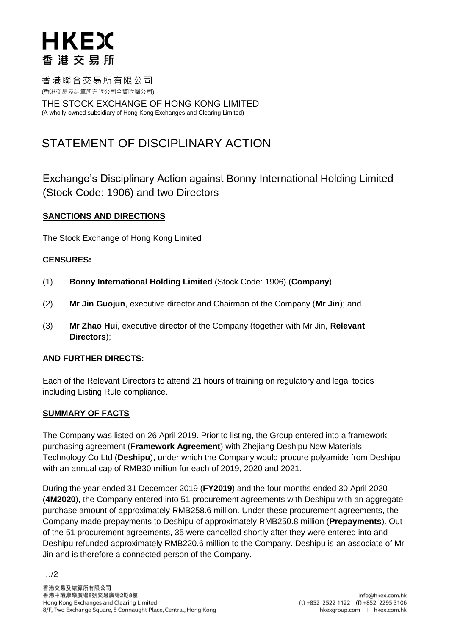香港聯合交易所有限公司 (香港交易及結算所有限公司全資附屬公司)

THE STOCK EXCHANGE OF HONG KONG LIMITED (A wholly-owned subsidiary of Hong Kong Exchanges and Clearing Limited)

# STATEMENT OF DISCIPLINARY ACTION

Exchange's Disciplinary Action against Bonny International Holding Limited (Stock Code: 1906) and two Directors

## **SANCTIONS AND DIRECTIONS**

The Stock Exchange of Hong Kong Limited

## **CENSURES:**

- (1) **Bonny International Holding Limited** (Stock Code: 1906) (**Company**);
- (2) **Mr Jin Guojun**, executive director and Chairman of the Company (**Mr Jin**); and
- (3) **Mr Zhao Hui**, executive director of the Company (together with Mr Jin, **Relevant Directors**);

#### **AND FURTHER DIRECTS:**

Each of the Relevant Directors to attend 21 hours of training on regulatory and legal topics including Listing Rule compliance.

#### **SUMMARY OF FACTS**

…/2

The Company was listed on 26 April 2019. Prior to listing, the Group entered into a framework purchasing agreement (**Framework Agreement**) with Zhejiang Deshipu New Materials Technology Co Ltd (**Deshipu**), under which the Company would procure polyamide from Deshipu with an annual cap of RMB30 million for each of 2019, 2020 and 2021.

During the year ended 31 December 2019 (**FY2019**) and the four months ended 30 April 2020 (**4M2020**), the Company entered into 51 procurement agreements with Deshipu with an aggregate purchase amount of approximately RMB258.6 million. Under these procurement agreements, the Company made prepayments to Deshipu of approximately RMB250.8 million (**Prepayments**). Out of the 51 procurement agreements, 35 were cancelled shortly after they were entered into and Deshipu refunded approximately RMB220.6 million to the Company. Deshipu is an associate of Mr Jin and is therefore a connected person of the Company.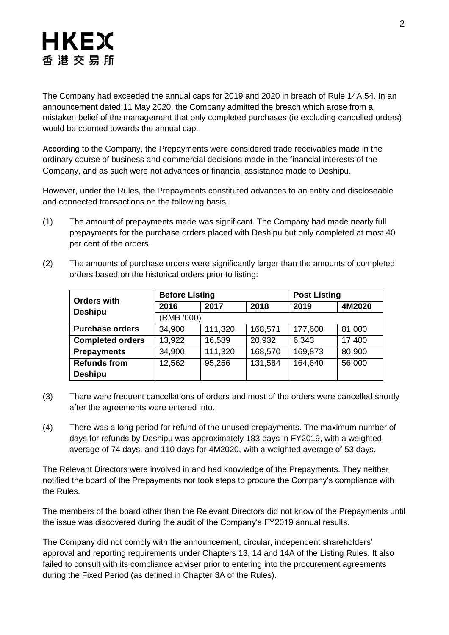The Company had exceeded the annual caps for 2019 and 2020 in breach of Rule 14A.54. In an announcement dated 11 May 2020, the Company admitted the breach which arose from a mistaken belief of the management that only completed purchases (ie excluding cancelled orders) would be counted towards the annual cap.

According to the Company, the Prepayments were considered trade receivables made in the ordinary course of business and commercial decisions made in the financial interests of the Company, and as such were not advances or financial assistance made to Deshipu.

However, under the Rules, the Prepayments constituted advances to an entity and discloseable and connected transactions on the following basis:

(1) The amount of prepayments made was significant. The Company had made nearly full prepayments for the purchase orders placed with Deshipu but only completed at most 40 per cent of the orders.

| <b>Orders with</b><br><b>Deshipu</b> | <b>Before Listing</b> |         |         | <b>Post Listing</b> |        |
|--------------------------------------|-----------------------|---------|---------|---------------------|--------|
|                                      | 2016                  | 2017    | 2018    | 2019                | 4M2020 |
|                                      | (RMB '000)            |         |         |                     |        |
| <b>Purchase orders</b>               | 34,900                | 111,320 | 168,571 | 177,600             | 81,000 |
| <b>Completed orders</b>              | 13,922                | 16,589  | 20,932  | 6,343               | 17,400 |
| <b>Prepayments</b>                   | 34,900                | 111,320 | 168,570 | 169,873             | 80,900 |
| <b>Refunds from</b>                  | 12,562                | 95,256  | 131,584 | 164,640             | 56,000 |
| <b>Deshipu</b>                       |                       |         |         |                     |        |

(2) The amounts of purchase orders were significantly larger than the amounts of completed orders based on the historical orders prior to listing:

- (3) There were frequent cancellations of orders and most of the orders were cancelled shortly after the agreements were entered into.
- (4) There was a long period for refund of the unused prepayments. The maximum number of days for refunds by Deshipu was approximately 183 days in FY2019, with a weighted average of 74 days, and 110 days for 4M2020, with a weighted average of 53 days.

The Relevant Directors were involved in and had knowledge of the Prepayments. They neither notified the board of the Prepayments nor took steps to procure the Company's compliance with the Rules.

The members of the board other than the Relevant Directors did not know of the Prepayments until the issue was discovered during the audit of the Company's FY2019 annual results.

The Company did not comply with the announcement, circular, independent shareholders' approval and reporting requirements under Chapters 13, 14 and 14A of the Listing Rules. It also failed to consult with its compliance adviser prior to entering into the procurement agreements during the Fixed Period (as defined in Chapter 3A of the Rules).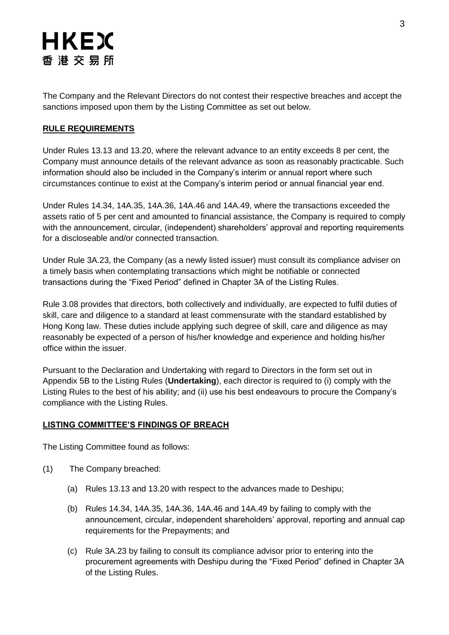The Company and the Relevant Directors do not contest their respective breaches and accept the sanctions imposed upon them by the Listing Committee as set out below.

# **RULE REQUIREMENTS**

Under Rules 13.13 and 13.20, where the relevant advance to an entity exceeds 8 per cent, the Company must announce details of the relevant advance as soon as reasonably practicable. Such information should also be included in the Company's interim or annual report where such circumstances continue to exist at the Company's interim period or annual financial year end.

Under Rules 14.34, 14A.35, 14A.36, 14A.46 and 14A.49, where the transactions exceeded the assets ratio of 5 per cent and amounted to financial assistance, the Company is required to comply with the announcement, circular, (independent) shareholders' approval and reporting requirements for a discloseable and/or connected transaction.

Under Rule 3A.23, the Company (as a newly listed issuer) must consult its compliance adviser on a timely basis when contemplating transactions which might be notifiable or connected transactions during the "Fixed Period" defined in Chapter 3A of the Listing Rules.

Rule 3.08 provides that directors, both collectively and individually, are expected to fulfil duties of skill, care and diligence to a standard at least commensurate with the standard established by Hong Kong law. These duties include applying such degree of skill, care and diligence as may reasonably be expected of a person of his/her knowledge and experience and holding his/her office within the issuer.

Pursuant to the Declaration and Undertaking with regard to Directors in the form set out in Appendix 5B to the Listing Rules (**Undertaking**), each director is required to (i) comply with the Listing Rules to the best of his ability; and (ii) use his best endeavours to procure the Company's compliance with the Listing Rules.

## **LISTING COMMITTEE'S FINDINGS OF BREACH**

The Listing Committee found as follows:

- (1) The Company breached:
	- (a) Rules 13.13 and 13.20 with respect to the advances made to Deshipu;
	- (b) Rules 14.34, 14A.35, 14A.36, 14A.46 and 14A.49 by failing to comply with the announcement, circular, independent shareholders' approval, reporting and annual cap requirements for the Prepayments; and
	- (c) Rule 3A.23 by failing to consult its compliance advisor prior to entering into the procurement agreements with Deshipu during the "Fixed Period" defined in Chapter 3A of the Listing Rules.